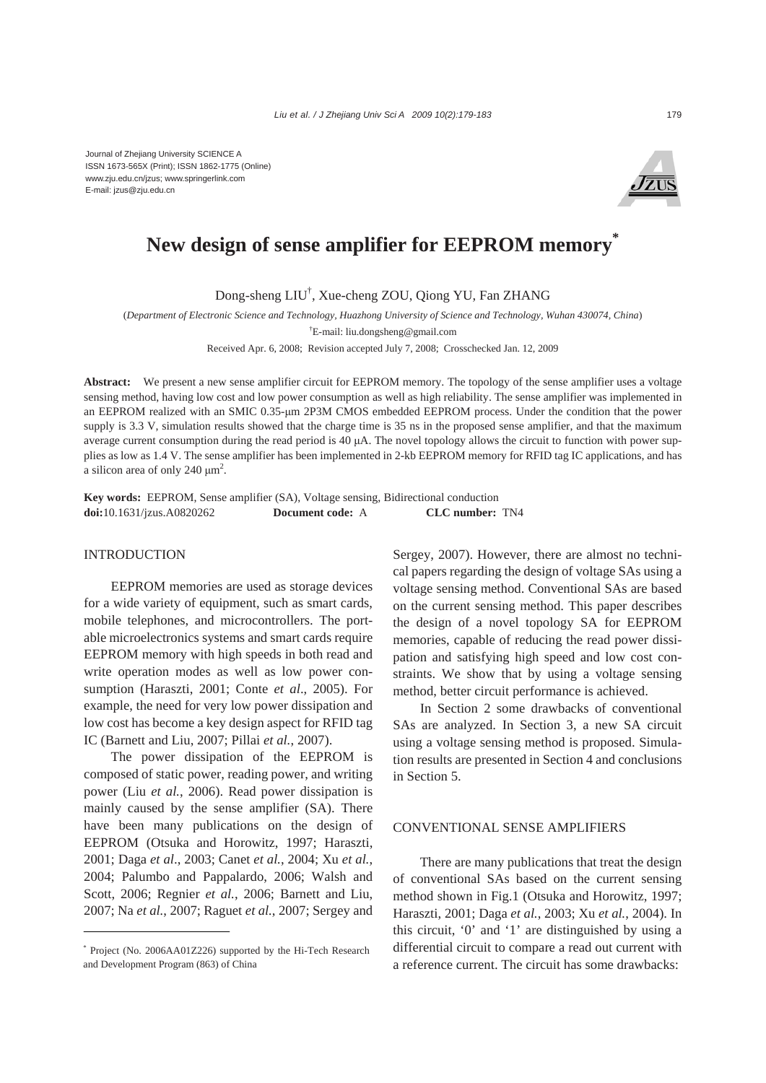

# New design of sense amplifier for EEPROM memory<sup>\*</sup>

Dong-sheng LIU† , Xue-cheng ZOU, Qiong YU, Fan ZHANG

(*Department of Electronic Science and Technology, Huazhong University of Science and Technology, Wuhan 430074, China*)

† E-mail: liu.dongsheng@gmail.com

Received Apr. 6, 2008; Revision accepted July 7, 2008; Crosschecked Jan. 12, 2009

**Abstract:** We present a new sense amplifier circuit for EEPROM memory. The topology of the sense amplifier uses a voltage sensing method, having low cost and low power consumption as well as high reliability. The sense amplifier was implemented in an EEPROM realized with an SMIC 0.35-μm 2P3M CMOS embedded EEPROM process. Under the condition that the power supply is 3.3 V, simulation results showed that the charge time is 35 ns in the proposed sense amplifier, and that the maximum average current consumption during the read period is 40 μA. The novel topology allows the circuit to function with power supplies as low as 1.4 V. The sense amplifier has been implemented in 2-kb EEPROM memory for RFID tag IC applications, and has a silicon area of only 240  $\mu$ m<sup>2</sup>.

**Key words:** EEPROM, Sense amplifier (SA), Voltage sensing, Bidirectional conduction **doi:**10.1631/jzus.A0820262 **Document code:** A **CLC number:** TN4

### INTRODUCTION

EEPROM memories are used as storage devices for a wide variety of equipment, such as smart cards, mobile telephones, and microcontrollers. The portable microelectronics systems and smart cards require EEPROM memory with high speeds in both read and write operation modes as well as low power consumption (Haraszti, 2001; Conte *et al*., 2005). For example, the need for very low power dissipation and low cost has become a key design aspect for RFID tag IC (Barnett and Liu, 2007; Pillai *et al.*, 2007).

The power dissipation of the EEPROM is composed of static power, reading power, and writing power (Liu *et al.*, 2006). Read power dissipation is mainly caused by the sense amplifier (SA). There have been many publications on the design of EEPROM (Otsuka and Horowitz, 1997; Haraszti, 2001; Daga *et al*., 2003; Canet *et al.*, 2004; Xu *et al.*, 2004; Palumbo and Pappalardo, 2006; Walsh and Scott, 2006; Regnier *et al.*, 2006; Barnett and Liu, 2007; Na *et al.*, 2007; Raguet *et al.*, 2007; Sergey and Sergey, 2007). However, there are almost no technical papers regarding the design of voltage SAs using a voltage sensing method. Conventional SAs are based on the current sensing method. This paper describes the design of a novel topology SA for EEPROM memories, capable of reducing the read power dissipation and satisfying high speed and low cost constraints. We show that by using a voltage sensing method, better circuit performance is achieved.

In Section 2 some drawbacks of conventional SAs are analyzed. In Section 3, a new SA circuit using a voltage sensing method is proposed. Simulation results are presented in Section 4 and conclusions in Section 5.

#### CONVENTIONAL SENSE AMPLIFIERS

There are many publications that treat the design of conventional SAs based on the current sensing method shown in Fig.1 (Otsuka and Horowitz, 1997; Haraszti, 2001; Daga *et al.*, 2003; Xu *et al.*, 2004). In this circuit, '0' and '1' are distinguished by using a differential circuit to compare a read out current with a reference current. The circuit has some drawbacks:

<sup>\*</sup> Project (No. 2006AA01Z226) supported by the Hi-Tech Research and Development Program (863) of China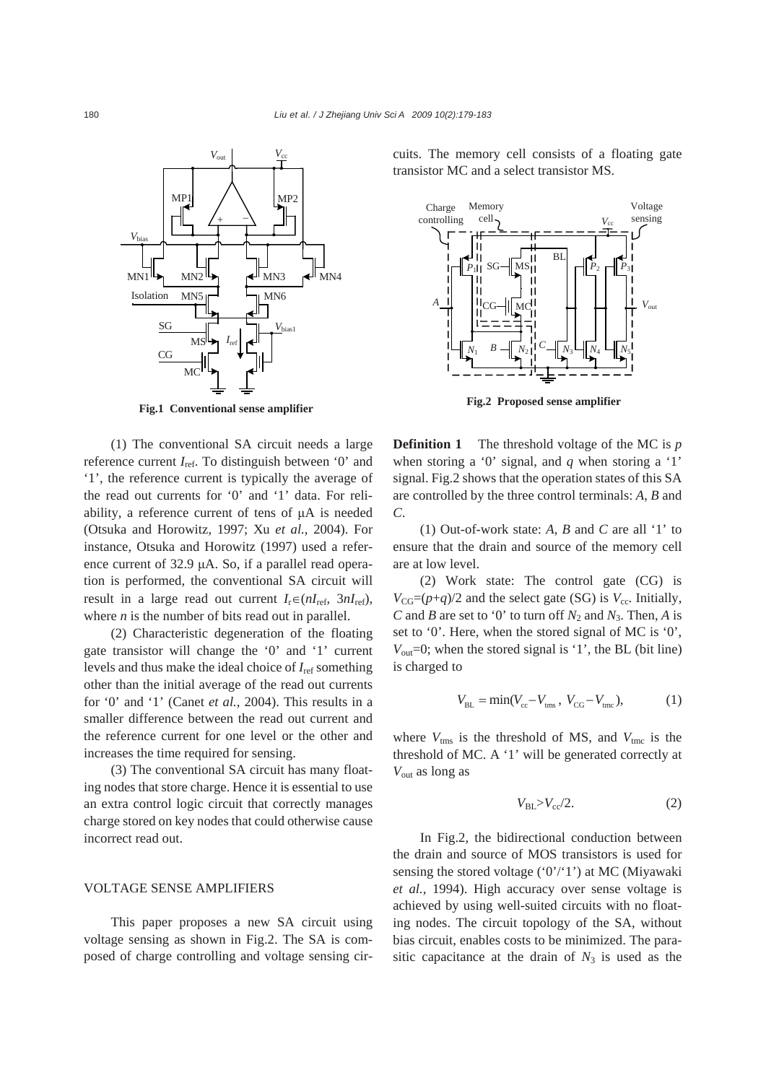

**Fig.1 Conventional sense amplifier**

(1) The conventional SA circuit needs a large reference current *I*ref. To distinguish between '0' and '1', the reference current is typically the average of the read out currents for '0' and '1' data. For reliability, a reference current of tens of μA is needed (Otsuka and Horowitz, 1997; Xu *et al.*, 2004). For instance, Otsuka and Horowitz (1997) used a reference current of 32.9 μA. So, if a parallel read operation is performed, the conventional SA circuit will result in a large read out current  $I_r \in (nI_{ref}, 3nI_{ref})$ , where *n* is the number of bits read out in parallel.

(2) Characteristic degeneration of the floating gate transistor will change the '0' and '1' current levels and thus make the ideal choice of *I*ref something other than the initial average of the read out currents for '0' and '1' (Canet *et al.*, 2004). This results in a smaller difference between the read out current and the reference current for one level or the other and increases the time required for sensing.

(3) The conventional SA circuit has many floating nodes that store charge. Hence it is essential to use an extra control logic circuit that correctly manages charge stored on key nodes that could otherwise cause incorrect read out.

#### VOLTAGE SENSE AMPLIFIERS

This paper proposes a new SA circuit using voltage sensing as shown in Fig.2. The SA is composed of charge controlling and voltage sensing circuits. The memory cell consists of a floating gate transistor MC and a select transistor MS.



**Fig.2 Proposed sense amplifier**

**Definition 1** The threshold voltage of the MC is *p* when storing a '0' signal, and *q* when storing a '1' signal. Fig.2 shows that the operation states of this SA are controlled by the three control terminals: *A*, *B* and *C*.

(1) Out-of-work state: *A*, *B* and *C* are all '1' to ensure that the drain and source of the memory cell are at low level.

(2) Work state: The control gate (CG) is  $V_{CG}=(p+q)/2$  and the select gate (SG) is  $V_{cc}$ . Initially, *C* and *B* are set to '0' to turn off  $N_2$  and  $N_3$ . Then, *A* is set to '0'. Here, when the stored signal of MC is '0',  $V_{\text{out}}=0$ ; when the stored signal is '1', the BL (bit line) is charged to

$$
V_{BL} = \min(V_{cc} - V_{tms}, V_{CG} - V_{tmc}),
$$
 (1)

where  $V_{\text{tms}}$  is the threshold of MS, and  $V_{\text{tmc}}$  is the threshold of MC. A '1' will be generated correctly at *V*out as long as

$$
V_{\rm BL} > V_{\rm cc}/2. \tag{2}
$$

In Fig.2, the bidirectional conduction between the drain and source of MOS transistors is used for sensing the stored voltage  $(0')'/1'$ ) at MC (Miyawaki *et al.*, 1994). High accuracy over sense voltage is achieved by using well-suited circuits with no floating nodes. The circuit topology of the SA, without bias circuit, enables costs to be minimized. The parasitic capacitance at the drain of  $N_3$  is used as the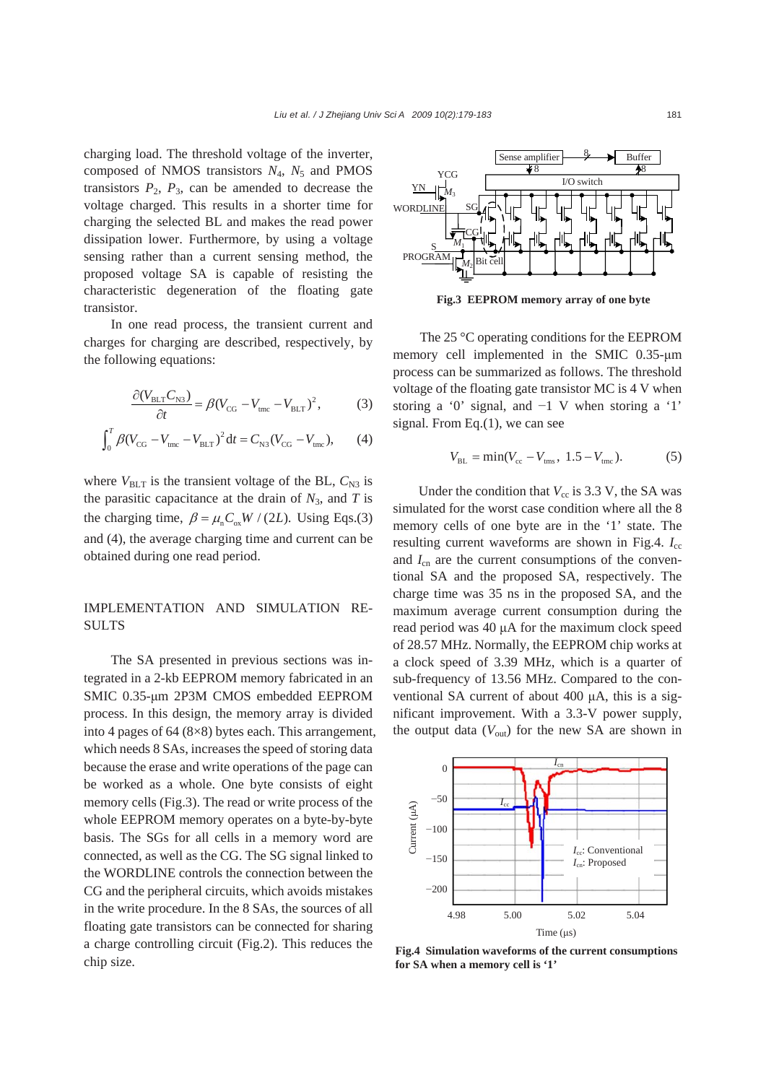charging load. The threshold voltage of the inverter, composed of NMOS transistors  $N_4$ ,  $N_5$  and PMOS transistors  $P_2$ ,  $P_3$ , can be amended to decrease the voltage charged. This results in a shorter time for charging the selected BL and makes the read power dissipation lower. Furthermore, by using a voltage sensing rather than a current sensing method, the proposed voltage SA is capable of resisting the characteristic degeneration of the floating gate transistor.

In one read process, the transient current and charges for charging are described, respectively, by the following equations:

$$
\frac{\partial (V_{\text{BLT}} C_{\text{N3}})}{\partial t} = \beta (V_{\text{CG}} - V_{\text{tmc}} - V_{\text{BLT}})^2, \tag{3}
$$

$$
\int_0^T \beta (V_{CG} - V_{\text{unc}} - V_{\text{BLT}})^2 dt = C_{N3} (V_{CG} - V_{\text{inc}}), \qquad (4)
$$

where  $V_{BLT}$  is the transient voltage of the BL,  $C_{N3}$  is the parasitic capacitance at the drain of  $N_3$ , and  $T$  is the charging time,  $\beta = \mu_n C_{ox} W / (2L)$ . Using Eqs.(3) and (4), the average charging time and current can be obtained during one read period.

## IMPLEMENTATION AND SIMULATION RE-SULTS

The SA presented in previous sections was integrated in a 2-kb EEPROM memory fabricated in an SMIC 0.35-μm 2P3M CMOS embedded EEPROM process. In this design, the memory array is divided into 4 pages of 64 (8×8) bytes each. This arrangement, which needs 8 SAs, increases the speed of storing data because the erase and write operations of the page can be worked as a whole. One byte consists of eight memory cells (Fig.3). The read or write process of the whole EEPROM memory operates on a byte-by-byte basis. The SGs for all cells in a memory word are connected, as well as the CG. The SG signal linked to the WORDLINE controls the connection between the CG and the peripheral circuits, which avoids mistakes in the write procedure. In the 8 SAs, the sources of all floating gate transistors can be connected for sharing a charge controlling circuit (Fig.2). This reduces the chip size.



**Fig.3 EEPROM memory array of one byte**

The 25 °C operating conditions for the EEPROM memory cell implemented in the SMIC 0.35-μm process can be summarized as follows. The threshold voltage of the floating gate transistor MC is 4 V when storing a '0' signal, and −1 V when storing a '1' signal. From Eq.(1), we can see

$$
V_{BL} = \min(V_{cc} - V_{\text{tms}}, 1.5 - V_{\text{tmc}}). \tag{5}
$$

Under the condition that  $V_{\text{cc}}$  is 3.3 V, the SA was simulated for the worst case condition where all the 8 memory cells of one byte are in the '1' state. The resulting current waveforms are shown in Fig.4.  $I_{cc}$ and  $I_{cn}$  are the current consumptions of the conventional SA and the proposed SA, respectively. The charge time was 35 ns in the proposed SA, and the maximum average current consumption during the read period was 40 μA for the maximum clock speed of 28.57 MHz. Normally, the EEPROM chip works at a clock speed of 3.39 MHz, which is a quarter of sub-frequency of 13.56 MHz. Compared to the conventional SA current of about 400 μA, this is a significant improvement. With a 3.3-V power supply, the output data  $(V_{\text{out}})$  for the new SA are shown in



**Fig.4 Simulation waveforms of the current consumptions for SA when a memory cell is '1'**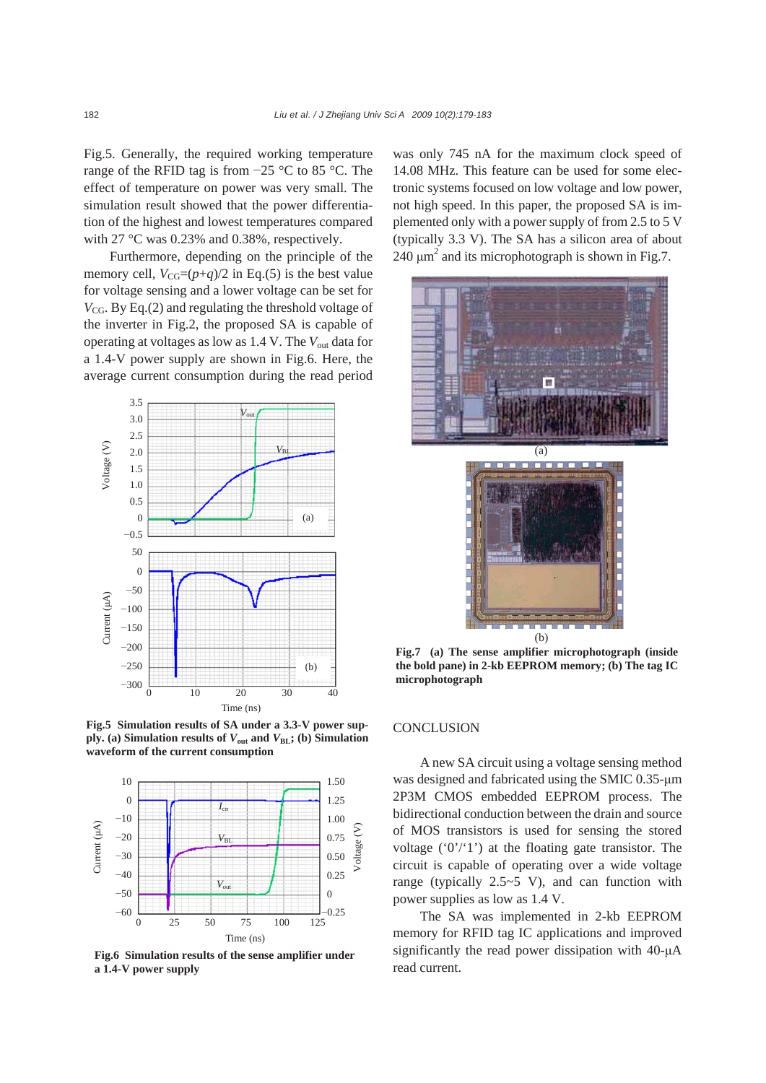Fig.5. Generally, the required working temperature range of the RFID tag is from −25 °C to 85 °C. The effect of temperature on power was very small. The simulation result showed that the power differentiation of the highest and lowest temperatures compared with 27 °C was 0.23% and 0.38%, respectively.

Furthermore, depending on the principle of the memory cell,  $V_{CG}=(p+q)/2$  in Eq.(5) is the best value for voltage sensing and a lower voltage can be set for  $V_{CG}$ . By Eq.(2) and regulating the threshold voltage of the inverter in Fig.2, the proposed SA is capable of operating at voltages as low as 1.4 V. The *V*out data for a 1.4-V power supply are shown in Fig.6. Here, the average current consumption during the read period



**Fig.5 Simulation results of SA under a 3.3-V power sup**ply. (a) Simulation results of  $V_{\text{out}}$  and  $V_{\text{BL}}$ ; (b) Simulation **waveform of the current consumption**



**Fig.6 Simulation results of the sense amplifier under a 1.4-V power supply**

was only 745 nA for the maximum clock speed of 14.08 MHz. This feature can be used for some electronic systems focused on low voltage and low power, not high speed. In this paper, the proposed SA is implemented only with a power supply of from 2.5 to 5 V (typically 3.3 V). The SA has a silicon area of about 240  $\mu$ m<sup>2</sup> and its microphotograph is shown in Fig.7.



**Fig.7 (a) The sense amplifier microphotograph (inside the bold pane) in 2-kb EEPROM memory; (b) The tag IC microphotograph**

#### **CONCLUSION**

A new SA circuit using a voltage sensing method was designed and fabricated using the SMIC 0.35-μm 2P3M CMOS embedded EEPROM process. The bidirectional conduction between the drain and source of MOS transistors is used for sensing the stored voltage  $(0')$  <sup>'</sup>1') at the floating gate transistor. The circuit is capable of operating over a wide voltage range (typically  $2.5~5$  V), and can function with power supplies as low as 1.4 V.

The SA was implemented in 2-kb EEPROM memory for RFID tag IC applications and improved significantly the read power dissipation with 40-μA read current.